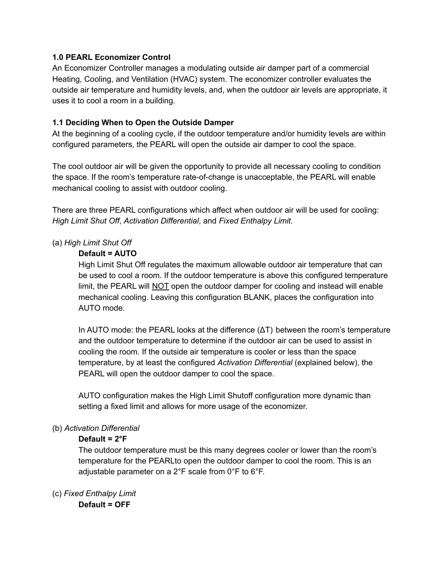#### **1.0 PEARL Economizer Control**

An Economizer Controller manages a modulating outside air damper part of a commercial Heating, Cooling, and Ventilation (HVAC) system. The economizer controller evaluates the outside air temperature and humidity levels, and, when the outdoor air levels are appropriate, it uses it to cool a room in a building.

### **1.1 Deciding When to Open the Outside Damper**

At the beginning of a cooling cycle, if the outdoor temperature and/or humidity levels are within configured parameters, the PEARL will open the outside air damper to cool the space.

The cool outdoor air will be given the opportunity to provide all necessary cooling to condition the space. If the room's temperature rate-of-change is unacceptable, the PEARL will enable mechanical cooling to assist with outdoor cooling.

There are three PEARL configurations which affect when outdoor air will be used for cooling: *High Limit Shut Off*, *Activation Differential*, and *Fixed Enthalpy Limit*.

## (a) *High Limit Shut Off*

#### **Default = AUTO**

High Limit Shut Off regulates the maximum allowable outdoor air temperature that can be used to cool a room. If the outdoor temperature is above this configured temperature limit, the PEARL will NOT open the outdoor damper for cooling and instead will enable mechanical cooling. Leaving this configuration BLANK, places the configuration into AUTO mode.

In AUTO mode: the PEARL looks at the difference  $(AT)$  between the room's temperature and the outdoor temperature to determine if the outdoor air can be used to assist in cooling the room. If the outside air temperature is cooler or less than the space temperature, by at least the configured *Activation Differential* (explained below), the PEARL will open the outdoor damper to cool the space.

AUTO configuration makes the High Limit Shutoff configuration more dynamic than setting a fixed limit and allows for more usage of the economizer.

#### (b) *Activation Differential*

#### **Default = 2°F**

The outdoor temperature must be this many degrees cooler or lower than the room's temperature for the PEARLto open the outdoor damper to cool the room. This is an adjustable parameter on a 2°F scale from 0°F to 6°F.

(c) *Fixed Enthalpy Limit* **Default = OFF**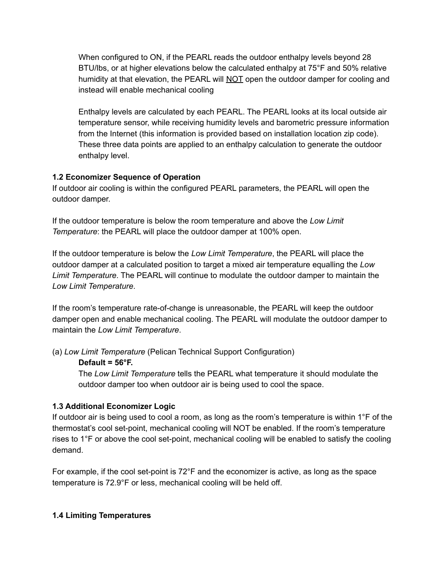When configured to ON, if the PEARL reads the outdoor enthalpy levels beyond 28 BTU/lbs, or at higher elevations below the calculated enthalpy at 75°F and 50% relative humidity at that elevation, the PEARL will  $NOT$  open the outdoor damper for cooling and instead will enable mechanical cooling

Enthalpy levels are calculated by each PEARL. The PEARL looks at its local outside air temperature sensor, while receiving humidity levels and barometric pressure information from the Internet (this information is provided based on installation location zip code). These three data points are applied to an enthalpy calculation to generate the outdoor enthalpy level.

## **1.2 Economizer Sequence of Operation**

If outdoor air cooling is within the configured PEARL parameters, the PEARL will open the outdoor damper.

If the outdoor temperature is below the room temperature and above the *Low Limit Temperature*: the PEARL will place the outdoor damper at 100% open.

If the outdoor temperature is below the *Low Limit Temperature*, the PEARL will place the outdoor damper at a calculated position to target a mixed air temperature equalling the *Low Limit Temperature*. The PEARL will continue to modulate the outdoor damper to maintain the *Low Limit Temperature*.

If the room's temperature rate-of-change is unreasonable, the PEARL will keep the outdoor damper open and enable mechanical cooling. The PEARL will modulate the outdoor damper to maintain the *Low Limit Temperature*.

(a) *Low Limit Temperature* (Pelican Technical Support Configuration)

## **Default = 56°F.**

The *Low Limit Temperature* tells the PEARL what temperature it should modulate the outdoor damper too when outdoor air is being used to cool the space.

# **1.3 Additional Economizer Logic**

If outdoor air is being used to cool a room, as long as the room's temperature is within 1°F of the thermostat's cool set-point, mechanical cooling will NOT be enabled. If the room's temperature rises to 1°F or above the cool set-point, mechanical cooling will be enabled to satisfy the cooling demand.

For example, if the cool set-point is 72°F and the economizer is active, as long as the space temperature is 72.9°F or less, mechanical cooling will be held off.

# **1.4 Limiting Temperatures**